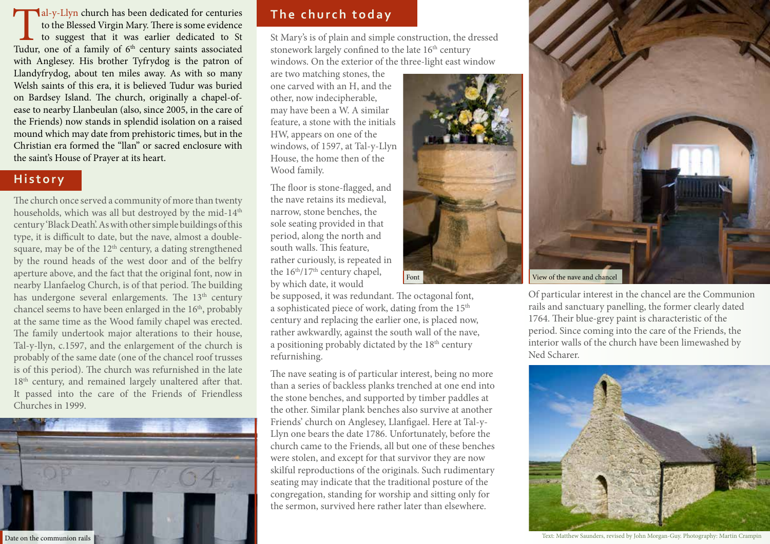Tal-y-Llyn church has been dedicated for centuries<br>to the Blessed Virgin Mary. There is some evidence<br>to suggest that it was earlier dedicated to St<br>Tudur, one of a family of  $6<sup>th</sup>$  century saints associated to the Blessed Virgin Mary. There is some evidence to suggest that it was earlier dedicated to St with Anglesey. His brother Tyfrydog is the patron of Llandyfrydog, about ten miles away. As with so many Welsh saints of this era, it is believed Tudur was buried on Bardsey Island. The church, originally a chapel-ofease to nearby Llanbeulan (also, since 2005, in the care of the Friends) now stands in splendid isolation on a raised mound which may date from prehistoric times, but in the Christian era formed the "llan" or sacred enclosure with the saint's House of Prayer at its heart.

### **History**

The church once served a community of more than twenty households, which was all but destroyed by the mid-14<sup>th</sup> century 'Black Death'. As with other simple buildings of this type, it is difficult to date, but the nave, almost a doublesquare, may be of the  $12<sup>th</sup>$  century, a dating strengthened by the round heads of the west door and of the belfry aperture above, and the fact that the original font, now in nearby Llanfaelog Church, is of that period. The building has undergone several enlargements. The 13<sup>th</sup> century chancel seems to have been enlarged in the 16<sup>th</sup>, probably at the same time as the Wood family chapel was erected. The family undertook major alterations to their house, Tal-y-llyn, c.1597, and the enlargement of the church is probably of the same date (one of the chancel roof trusses is of this period). The church was refurnished in the late 18<sup>th</sup> century, and remained largely unaltered after that. It passed into the care of the Friends of Friendless Churches in 1999.



# **The church today**

St Mary's is of plain and simple construction, the dressed stonework largely confined to the late 16<sup>th</sup> century windows. On the exterior of the three-light east window

are two matching stones, the one carved with an H, and the other, now indecipherable, may have been a W. A similar feature, a stone with the initials HW, appears on one of the windows, of 1597, at Tal-y-Llyn House, the home then of the Wood family.

The floor is stone-flagged, and the nave retains its medieval, narrow, stone benches, the sole seating provided in that period, along the north and south walls. This feature, rather curiously, is repeated in the  $16<sup>th</sup>/17<sup>th</sup>$  century chapel, by which date, it would

be supposed, it was redundant. The octagonal font, a sophisticated piece of work, dating from the 15<sup>th</sup> century and replacing the earlier one, is placed now, rather awkwardly, against the south wall of the nave, a positioning probably dictated by the  $18<sup>th</sup>$  century refurnishing.

The nave seating is of particular interest, being no more than a series of backless planks trenched at one end into the stone benches, and supported by timber paddles at the other. Similar plank benches also survive at another Friends' church on Anglesey, Llanfigael. Here at Tal-y-Llyn one bears the date 1786. Unfortunately, before the church came to the Friends, all but one of these benches were stolen, and except for that survivor they are now skilful reproductions of the originals. Such rudimentary seating may indicate that the traditional posture of the congregation, standing for worship and sitting only for the sermon, survived here rather later than elsewhere.





Of particular interest in the chancel are the Communion rails and sanctuary panelling, the former clearly dated 1764. Their blue-grey paint is characteristic of the period. Since coming into the care of the Friends, the interior walls of the church have been limewashed by Ned Scharer.



Text: Matthew Saunders, revised by John Morgan-Guy. Photography: Martin Crampin